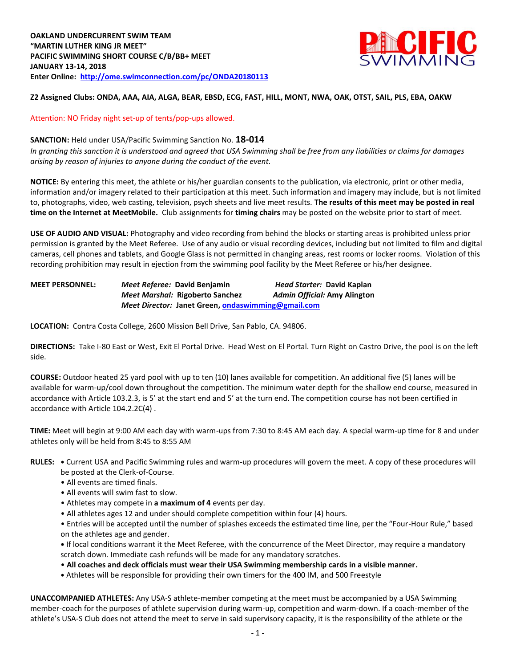

## **Z2 Assigned Clubs: ONDA, AAA, AIA, ALGA, BEAR, EBSD, ECG, FAST, HILL, MONT, NWA, OAK, OTST, SAIL, PLS, EBA, OAKW**

#### Attention: NO Friday night set-up of tents/pop-ups allowed.

#### **SANCTION:** Held under USA/Pacific Swimming Sanction No. **18-014**

*In granting this sanction it is understood and agreed that USA Swimming shall be free from any liabilities or claims for damages arising by reason of injuries to anyone during the conduct of the event.*

**NOTICE:** By entering this meet, the athlete or his/her guardian consents to the publication, via electronic, print or other media, information and/or imagery related to their participation at this meet. Such information and imagery may include, but is not limited to, photographs, video, web casting, television, psych sheets and live meet results. **The results of this meet may be posted in real time on the Internet at MeetMobile.** Club assignments for **timing chairs** may be posted on the website prior to start of meet.

**USE OF AUDIO AND VISUAL:** Photography and video recording from behind the blocks or starting areas is prohibited unless prior permission is granted by the Meet Referee. Use of any audio or visual recording devices, including but not limited to film and digital cameras, cell phones and tablets, and Google Glass is not permitted in changing areas, rest rooms or locker rooms. Violation of this recording prohibition may result in ejection from the swimming pool facility by the Meet Referee or his/her designee.

**MEET PERSONNEL:** *Meet Referee:* **David Benjamin** *Head Starter:* **David Kaplan** *Meet Marshal:* **Rigoberto Sanchez** *Admin Official:* **Amy Alington** *Meet Director:* **Janet Green[, ondaswimming@gmail.com](mailto:ondaswimming@gmail.com)**

**LOCATION:** Contra Costa College, 2600 Mission Bell Drive, San Pablo, CA. 94806.

**DIRECTIONS:** Take I-80 East or West, Exit El Portal Drive. Head West on El Portal. Turn Right on Castro Drive, the pool is on the left side.

**COURSE:** Outdoor heated 25 yard pool with up to ten (10) lanes available for competition. An additional five (5) lanes will be available for warm-up/cool down throughout the competition. The minimum water depth for the shallow end course, measured in accordance with Article 103.2.3, is 5' at the start end and 5' at the turn end. The competition course has not been certified in accordance with Article 104.2.2C(4) .

**TIME:** Meet will begin at 9:00 AM each day with warm-ups from 7:30 to 8:45 AM each day. A special warm-up time for 8 and under athletes only will be held from 8:45 to 8:55 AM

- **RULES: •** Current USA and Pacific Swimming rules and warm-up procedures will govern the meet. A copy of these procedures will
	- be posted at the Clerk-of-Course.
	- All events are timed finals.
	- All events will swim fast to slow.
	- Athletes may compete in **a maximum of 4** events per day.
	- All athletes ages 12 and under should complete competition within four (4) hours.

• Entries will be accepted until the number of splashes exceeds the estimated time line, per the "Four-Hour Rule," based on the athletes age and gender.

**•** If local conditions warrant it the Meet Referee, with the concurrence of the Meet Director, may require a mandatory scratch down. Immediate cash refunds will be made for any mandatory scratches.

- **All coaches and deck officials must wear their USA Swimming membership cards in a visible manner.**
- **•** Athletes will be responsible for providing their own timers for the 400 IM, and 500 Freestyle

**UNACCOMPANIED ATHLETES:** Any USA-S athlete-member competing at the meet must be accompanied by a USA Swimming member-coach for the purposes of athlete supervision during warm-up, competition and warm-down. If a coach-member of the athlete's USA-S Club does not attend the meet to serve in said supervisory capacity, it is the responsibility of the athlete or the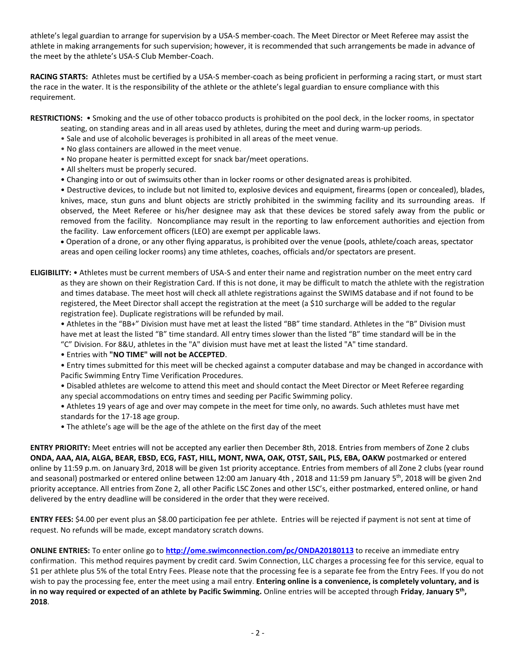athlete's legal guardian to arrange for supervision by a USA-S member-coach. The Meet Director or Meet Referee may assist the athlete in making arrangements for such supervision; however, it is recommended that such arrangements be made in advance of the meet by the athlete's USA-S Club Member-Coach.

**RACING STARTS:** Athletes must be certified by a USA-S member-coach as being proficient in performing a racing start, or must start the race in the water. It is the responsibility of the athlete or the athlete's legal guardian to ensure compliance with this requirement.

**RESTRICTIONS:** • Smoking and the use of other tobacco products is prohibited on the pool deck, in the locker rooms, in spectator

- seating, on standing areas and in all areas used by athletes, during the meet and during warm-up periods.
- Sale and use of alcoholic beverages is prohibited in all areas of the meet venue.
- No glass containers are allowed in the meet venue.
- No propane heater is permitted except for snack bar/meet operations.
- All shelters must be properly secured.
- Changing into or out of swimsuits other than in locker rooms or other designated areas is prohibited.

• Destructive devices, to include but not limited to, explosive devices and equipment, firearms (open or concealed), blades, knives, mace, stun guns and blunt objects are strictly prohibited in the swimming facility and its surrounding areas. If observed, the Meet Referee or his/her designee may ask that these devices be stored safely away from the public or removed from the facility. Noncompliance may result in the reporting to law enforcement authorities and ejection from the facility. Law enforcement officers (LEO) are exempt per applicable laws.

 Operation of a drone, or any other flying apparatus, is prohibited over the venue (pools, athlete/coach areas, spectator areas and open ceiling locker rooms) any time athletes, coaches, officials and/or spectators are present.

**ELIGIBILITY:** • Athletes must be current members of USA-S and enter their name and registration number on the meet entry card as they are shown on their Registration Card. If this is not done, it may be difficult to match the athlete with the registration and times database. The meet host will check all athlete registrations against the SWIMS database and if not found to be registered, the Meet Director shall accept the registration at the meet (a \$10 surcharge will be added to the regular registration fee). Duplicate registrations will be refunded by mail.

• Athletes in the "BB+" Division must have met at least the listed "BB" time standard. Athletes in the "B" Division must have met at least the listed "B" time standard. All entry times slower than the listed "B" time standard will be in the "C" Division. For 8&U, athletes in the "A" division must have met at least the listed "A" time standard.

• Entries with **"NO TIME" will not be ACCEPTED**.

• Entry times submitted for this meet will be checked against a computer database and may be changed in accordance with Pacific Swimming Entry Time Verification Procedures.

• Disabled athletes are welcome to attend this meet and should contact the Meet Director or Meet Referee regarding any special accommodations on entry times and seeding per Pacific Swimming policy.

• Athletes 19 years of age and over may compete in the meet for time only, no awards. Such athletes must have met standards for the 17-18 age group.

• The athlete's age will be the age of the athlete on the first day of the meet

**ENTRY PRIORITY:** Meet entries will not be accepted any earlier then December 8th, 2018. Entries from members of Zone 2 clubs **ONDA, AAA, AIA, ALGA, BEAR, EBSD, ECG, FAST, HILL, MONT, NWA, OAK, OTST, SAIL, PLS, EBA, OAKW** postmarked or entered online by 11:59 p.m. on January 3rd, 2018 will be given 1st priority acceptance. Entries from members of all Zone 2 clubs (year round and seasonal) postmarked or entered online between 12:00 am January 4th , 2018 and 11:59 pm January 5<sup>th</sup>, 2018 will be given 2nd priority acceptance. All entries from Zone 2, all other Pacific LSC Zones and other LSC's, either postmarked, entered online, or hand delivered by the entry deadline will be considered in the order that they were received.

**ENTRY FEES:** \$4.00 per event plus an \$8.00 participation fee per athlete. Entries will be rejected if payment is not sent at time of request. No refunds will be made, except mandatory scratch downs.

**ONLINE ENTRIES:** To enter online go to **<http://ome.swimconnection.com/pc/ONDA20180113>** to receive an immediate entry confirmation. This method requires payment by credit card. Swim Connection, LLC charges a processing fee for this service, equal to \$1 per athlete plus 5% of the total Entry Fees. Please note that the processing fee is a separate fee from the Entry Fees. If you do not wish to pay the processing fee, enter the meet using a mail entry. **Entering online is a convenience, is completely voluntary, and is in no way required or expected of an athlete by Pacific Swimming.** Online entries will be accepted through **Friday**, **January 5 th , 2018**.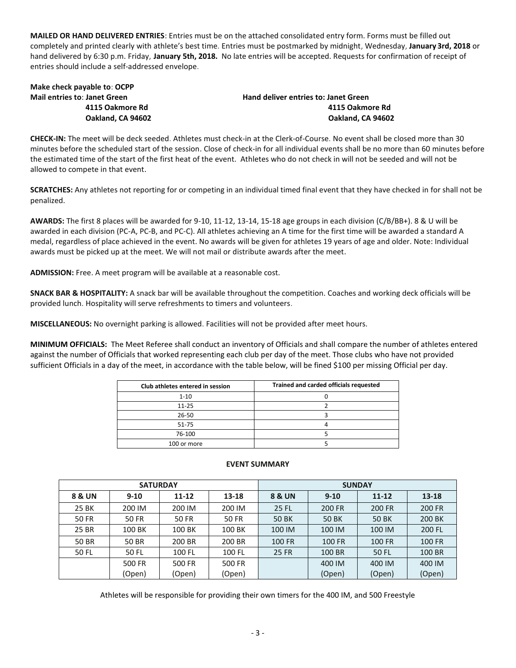**MAILED OR HAND DELIVERED ENTRIES**: Entries must be on the attached consolidated entry form. Forms must be filled out completely and printed clearly with athlete's best time. Entries must be postmarked by midnight, Wednesday, **January 3rd, 2018** or hand delivered by 6:30 p.m. Friday, **January 5th, 2018.** No late entries will be accepted. Requests for confirmation of receipt of entries should include a self-addressed envelope.

# **Make check payable to**: **OCPP**

**Mail entries to: Janet Green Handal Elizabeth Handal deliver entries to: Janet Green 4115 Oakmore Rd 4115 Oakmore Rd Oakland, CA 94602 Oakland, CA 94602**

**CHECK-IN:** The meet will be deck seeded. Athletes must check-in at the Clerk-of-Course. No event shall be closed more than 30 minutes before the scheduled start of the session. Close of check-in for all individual events shall be no more than 60 minutes before the estimated time of the start of the first heat of the event. Athletes who do not check in will not be seeded and will not be allowed to compete in that event.

**SCRATCHES:** Any athletes not reporting for or competing in an individual timed final event that they have checked in for shall not be penalized.

**AWARDS:** The first 8 places will be awarded for 9-10, 11-12, 13-14, 15-18 age groups in each division (C/B/BB+). 8 & U will be awarded in each division (PC-A, PC-B, and PC-C). All athletes achieving an A time for the first time will be awarded a standard A medal, regardless of place achieved in the event. No awards will be given for athletes 19 years of age and older. Note: Individual awards must be picked up at the meet. We will not mail or distribute awards after the meet.

**ADMISSION:** Free. A meet program will be available at a reasonable cost.

**SNACK BAR & HOSPITALITY:** A snack bar will be available throughout the competition. Coaches and working deck officials will be provided lunch. Hospitality will serve refreshments to timers and volunteers.

**MISCELLANEOUS:** No overnight parking is allowed. Facilities will not be provided after meet hours.

**MINIMUM OFFICIALS:** The Meet Referee shall conduct an inventory of Officials and shall compare the number of athletes entered against the number of Officials that worked representing each club per day of the meet. Those clubs who have not provided sufficient Officials in a day of the meet, in accordance with the table below, will be fined \$100 per missing Official per day.

| Club athletes entered in session | Trained and carded officials requested |  |  |  |  |  |
|----------------------------------|----------------------------------------|--|--|--|--|--|
| $1 - 10$                         |                                        |  |  |  |  |  |
| $11 - 25$                        |                                        |  |  |  |  |  |
| 26-50                            |                                        |  |  |  |  |  |
| $51 - 75$                        |                                        |  |  |  |  |  |
| 76-100                           |                                        |  |  |  |  |  |
| 100 or more                      |                                        |  |  |  |  |  |

### **EVENT SUMMARY**

| <b>SATURDAY</b>   |              |           |        | <b>SUNDAY</b>     |          |               |               |  |  |  |
|-------------------|--------------|-----------|--------|-------------------|----------|---------------|---------------|--|--|--|
| <b>8 &amp; UN</b> | $9 - 10$     | $11 - 12$ | 13-18  | <b>8 &amp; UN</b> | $9 - 10$ | $11 - 12$     | 13-18         |  |  |  |
| 25 BK             | 200 IM       | 200 IM    | 200 IM | 25 FL             | 200 FR   | <b>200 FR</b> | 200 FR        |  |  |  |
| <b>50 FR</b>      | <b>50 FR</b> | 50 FR     | 50 FR  | 50 BK             | 50 BK    | 50 BK         | 200 BK        |  |  |  |
| 25 BR             | 100 BK       | 100 BK    | 100 BK | 100 IM            | 100 IM   | 100 IM        | 200 FL        |  |  |  |
| 50 BR             | <b>50 BR</b> | 200 BR    | 200 BR | 100 FR            | 100 FR   | <b>100 FR</b> | <b>100 FR</b> |  |  |  |
| 50 FL             | 50 FL        | 100 FL    | 100 FL | <b>25 FR</b>      | 100 BR   | <b>50 FL</b>  | 100 BR        |  |  |  |
|                   | 500 FR       | 500 FR    | 500 FR |                   | 400 IM   | 400 IM        | 400 IM        |  |  |  |
|                   | (Open)       | (Open)    | (Open) |                   | (Open)   | (Open)        | (Open)        |  |  |  |

Athletes will be responsible for providing their own timers for the 400 IM, and 500 Freestyle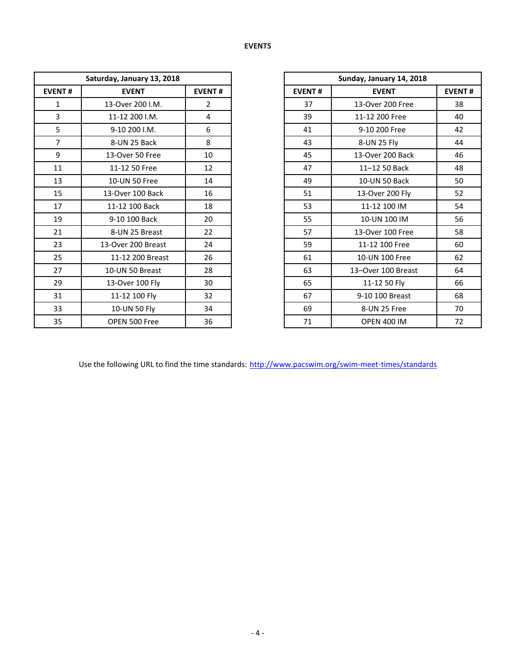| Saturday, January 13, 2018 |                    |               |  |  |
|----------------------------|--------------------|---------------|--|--|
| <b>EVENT#</b>              | <b>EVENT</b>       | <b>EVENT#</b> |  |  |
| $\mathbf{1}$               | 13-Over 200 I.M.   | 2             |  |  |
| 3                          | 11-12 200 I.M.     | 4             |  |  |
| 5                          | 9-10 200 I.M.      | 6             |  |  |
| $\overline{7}$             | 8-UN 25 Back       | 8             |  |  |
| 9                          | 13-Over 50 Free    | 10            |  |  |
| 11                         | 11-12 50 Free      | 12            |  |  |
| 13                         | 10-UN 50 Free      | 14            |  |  |
| 15                         | 13-Over 100 Back   | 16            |  |  |
| 17                         | 11-12 100 Back     | 18            |  |  |
| 19                         | 9-10 100 Back      | 20            |  |  |
| 21                         | 8-UN 25 Breast     | 22            |  |  |
| 23                         | 13-Over 200 Breast | 24            |  |  |
| 25                         | 11-12 200 Breast   | 26            |  |  |
| 27                         | 10-UN 50 Breast    | 28            |  |  |
| 29                         | 13-Over 100 Fly    | 30            |  |  |
| 31                         | 11-12 100 Fly      | 32            |  |  |
| 33                         | 10-UN 50 Fly       | 34            |  |  |
| 35                         | OPEN 500 Free      | 36            |  |  |
|                            |                    |               |  |  |

|               | Saturday, January 13, 2018 |                |  |
|---------------|----------------------------|----------------|--|
| <b>EVENT#</b> | <b>EVENT</b>               | <b>EVENT#</b>  |  |
| $\mathbf{1}$  | 13-Over 200 I.M.           | $\overline{2}$ |  |
| 3             | 11-12 200 I.M.             | 4              |  |
| 5             | 9-10 200 I.M.              | 6              |  |
| 7             | 8-UN 25 Back               | 8              |  |
| 9             | 13-Over 50 Free            | 10             |  |
| 11            | 11-12 50 Free              | 12             |  |
| 13            | 10-UN 50 Free              | 14             |  |
| 15            | 13-Over 100 Back           | 16             |  |
| 17            | 11-12 100 Back             | 18             |  |
| 19            | 9-10 100 Back              | 20             |  |
| 21            | 8-UN 25 Breast             | 22             |  |
| 23            | 13-Over 200 Breast         | 24             |  |
| 25            | 11-12 200 Breast           | 26             |  |
| 27            | 10-UN 50 Breast            | 28             |  |
| 29            | 13-Over 100 Fly            | 30             |  |
| 31            | 11-12 100 Fly              | 32             |  |
| 33            | 10-UN 50 Fly               | 34             |  |
| 35            | OPEN 500 Free              | 36             |  |

Use the following URL to find the time standards: <http://www.pacswim.org/swim-meet-times/standards>